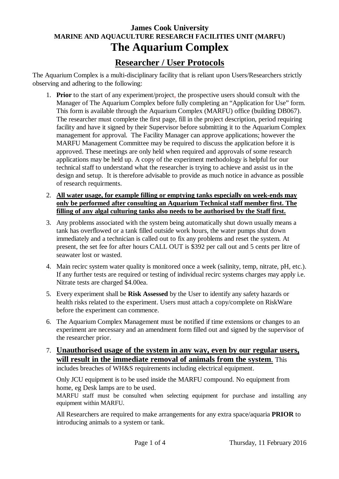# **James Cook University MARINE AND AQUACULTURE RESEARCH FACILITIES UNIT (MARFU) The Aquarium Complex**

## **Researcher / User Protocols**

The Aquarium Complex is a multi-disciplinary facility that is reliant upon Users/Researchers strictly observing and adhering to the following:

- 1. **Prior** to the start of any experiment/project, the prospective users should consult with the Manager of The Aquarium Complex before fully completing an "Application for Use" form. This form is available through the Aquarium Complex (MARFU) office (building DB067). The researcher must complete the first page, fill in the project description, period requiring facility and have it signed by their Supervisor before submitting it to the Aquarium Complex management for approval. The Facility Manager can approve applications; however the MARFU Management Committee may be required to discuss the application before it is approved. These meetings are only held when required and approvals of some research applications may be held up. A copy of the experiment methodology is helpful for our technical staff to understand what the researcher is trying to achieve and assist us in the design and setup. It is therefore advisable to provide as much notice in advance as possible of research requirments.
- 2. **All water usage, for example filling or emptying tanks especially on week-ends may only be performed after consulting an Aquarium Technical staff member first. The filling of any algal culturing tanks also needs to be authorised by the Staff first.**
- 3. Any problems associated with the system being automatically shut down usually means a tank has overflowed or a tank filled outside work hours, the water pumps shut down immediately and a technician is called out to fix any problems and reset the system. At present, the set fee for after hours CALL OUT is \$392 per call out and 5 cents per litre of seawater lost or wasted.
- 4. Main recirc system water quality is monitored once a week (salinity, temp, nitrate, pH, etc.). If any further tests are required or testing of individual recirc systems charges may apply i.e. Nitrate tests are charged \$4.00ea.
- 5. Every experiment shall be **Risk Assessed** by the User to identify any safety hazards or health risks related to the experiment. Users must attach a copy/complete on RiskWare before the experiment can commence.
- 6. The Aquarium Complex Management must be notified if time extensions or changes to an experiment are necessary and an amendment form filled out and signed by the supervisor of the researcher prior.
- 7. **Unauthorised usage of the system in any way, even by our regular users, will result in the immediate removal of animals from the system**. This includes breaches of WH&S requirements including electrical equipment.

Only JCU equipment is to be used inside the MARFU compound. No equipment from home, eg Desk lamps are to be used.

MARFU staff must be consulted when selecting equipment for purchase and installing any equipment within MARFU.

All Researchers are required to make arrangements for any extra space/aquaria **PRIOR** to introducing animals to a system or tank.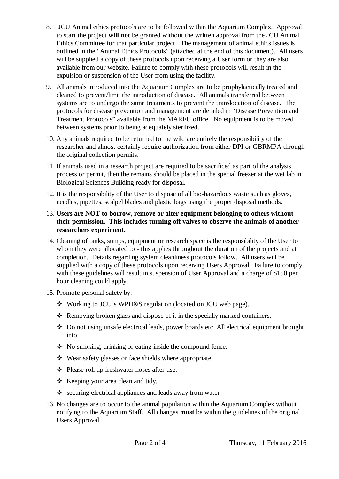- 8. JCU Animal ethics protocols are to be followed within the Aquarium Complex. Approval to start the project **will not** be granted without the written approval from the JCU Animal Ethics Committee for that particular project. The management of animal ethics issues is outlined in the "Animal Ethics Protocols" (attached at the end of this document). All users will be supplied a copy of these protocols upon receiving a User form or they are also available from our website. Failure to comply with these protocols will result in the expulsion or suspension of the User from using the facility.
- 9. All animals introduced into the Aquarium Complex are to be prophylactically treated and cleaned to prevent/limit the introduction of disease. All animals transferred between systems are to undergo the same treatments to prevent the translocation of disease. The protocols for disease prevention and management are detailed in "Disease Prevention and Treatment Protocols" available from the MARFU office. No equipment is to be moved between systems prior to being adequately sterilized.
- 10. Any animals required to be returned to the wild are entirely the responsibility of the researcher and almost certainly require authorization from either DPI or GBRMPA through the original collection permits.
- 11. If animals used in a research project are required to be sacrificed as part of the analysis process or permit, then the remains should be placed in the special freezer at the wet lab in Biological Sciences Building ready for disposal.
- 12. It is the responsibility of the User to dispose of all bio-hazardous waste such as gloves, needles, pipettes, scalpel blades and plastic bags using the proper disposal methods.

#### 13. **Users are NOT to borrow, remove or alter equipment belonging to others without their permission. This includes turning off valves to observe the animals of another researchers experiment.**

- 14. Cleaning of tanks, sumps, equipment or research space is the responsibility of the User to whom they were allocated to - this applies throughout the duration of the projects and at completion. Details regarding system cleanliness protocols follow. All users will be supplied with a copy of these protocols upon receiving Users Approval. Failure to comply with these guidelines will result in suspension of User Approval and a charge of \$150 per hour cleaning could apply.
- 15. Promote personal safety by:
	- Working to JCU's WPH&S regulation (located on JCU web page).
	- Removing broken glass and dispose of it in the specially marked containers.
	- Do not using unsafe electrical leads, power boards etc. All electrical equipment brought into
	- No smoking, drinking or eating inside the compound fence.
	- Wear safety glasses or face shields where appropriate.
	- Please roll up freshwater hoses after use.
	- \* Keeping your area clean and tidy,
	- $\bullet$  securing electrical appliances and leads away from water
- 16. No changes are to occur to the animal population within the Aquarium Complex without notifying to the Aquarium Staff. All changes **must** be within the guidelines of the original Users Approval.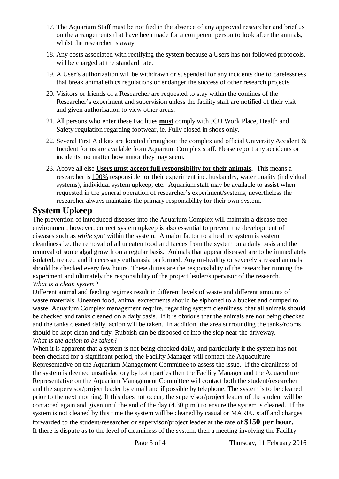- 17. The Aquarium Staff must be notified in the absence of any approved researcher and brief us on the arrangements that have been made for a competent person to look after the animals, whilst the researcher is away.
- 18. Any costs associated with rectifying the system because a Users has not followed protocols, will be charged at the standard rate.
- 19. A User's authorization will be withdrawn or suspended for any incidents due to carelessness that break animal ethics regulations or endanger the success of other research projects.
- 20. Visitors or friends of a Researcher are requested to stay within the confines of the Researcher's experiment and supervision unless the facility staff are notified of their visit and given authorisation to view other areas.
- 21. All persons who enter these Facilities **must** comply with JCU Work Place, Health and Safety regulation regarding footwear, ie. Fully closed in shoes only.
- 22. Several First Aid kits are located throughout the complex and official University Accident & Incident forms are available from Aquarium Complex staff. Please report any accidents or incidents, no matter how minor they may seem.
- 23. Above all else **Users must accept full responsibility for their animals.** This means a researcher is 100% responsible for their experiment inc. husbandry, water quality (individual systems), individual system upkeep, etc. Aquarium staff may be available to assist when requested in the general operation of researcher's experiment/systems, nevertheless the researcher always maintains the primary responsibility for their own system.

### **System Upkeep**

The prevention of introduced diseases into the Aquarium Complex will maintain a disease free environment; however, correct system upkeep is also essential to prevent the development of diseases such as *white spot* within the system. A major factor to a healthy system is system cleanliness i.e. the removal of all uneaten food and faeces from the system on a daily basis and the removal of some algal growth on a regular basis. Animals that appear diseased are to be immediately isolated, treated and if necessary euthanasia performed. Any un-healthy or severely stressed animals should be checked every few hours. These duties are the responsibility of the researcher running the experiment and ultimately the responsibility of the project leader/supervisor of the research. *What is a clean system?*

Different animal and feeding regimes result in different levels of waste and different amounts of waste materials. Uneaten food, animal excretments should be siphoned to a bucket and dumped to waste. Aquarium Complex management require, regarding system cleanliness, that all animals should be checked and tanks cleaned on a daily basis. If it is obvious that the animals are not being checked and the tanks cleaned daily, action will be taken. In addition, the area surrounding the tanks/rooms should be kept clean and tidy. Rubbish can be disposed of into the skip near the driveway. *What is the action to be taken?*

When it is apparent that a system is not being checked daily, and particularly if the system has not been checked for a significant period, the Facility Manager will contact the Aquaculture Representative on the Aquarium Management Committee to assess the issue. If the cleanliness of the system is deemed unsatisfactory by both parties then the Facility Manager and the Aquaculture Representative on the Aquarium Management Committee will contact both the student/researcher and the supervisor/project leader by e mail and if possible by telephone. The system is to be cleaned prior to the next morning. If this does not occur, the supervisor/project leader of the student will be contacted again and given until the end of the day (4.30 p.m.) to ensure the system is cleaned. If the system is not cleaned by this time the system will be cleaned by casual or MARFU staff and charges forwarded to the student/researcher or supervisor/project leader at the rate of **\$150 per hour.** If there is dispute as to the level of cleanliness of the system, then a meeting involving the Facility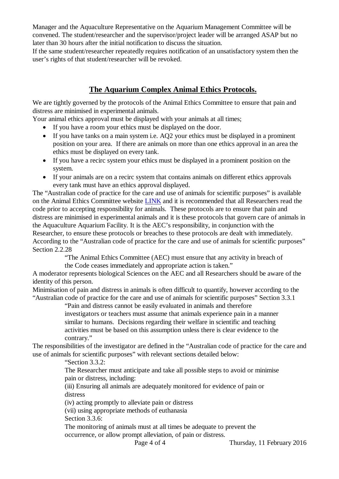Manager and the Aquaculture Representative on the Aquarium Management Committee will be convened. The student/researcher and the supervisor/project leader will be arranged ASAP but no later than 30 hours after the initial notification to discuss the situation.

If the same student/researcher repeatedly requires notification of an unsatisfactory system then the user's rights of that student/researcher will be revoked.

### **The Aquarium Complex Animal Ethics Protocols.**

We are tightly governed by the protocols of the Animal Ethics Committee to ensure that pain and distress are minimised in experimental animals.

Your animal ethics approval must be displayed with your animals at all times;

- If you have a room your ethics must be displayed on the door.
- If you have tanks on a main system i.e. AQ2 your ethics must be displayed in a prominent position on your area. If there are animals on more than one ethics approval in an area the ethics must be displayed on every tank.
- If you have a recirc system your ethics must be displayed in a prominent position on the system.
- If your animals are on a recirc system that contains animals on different ethics approvals every tank must have an ethics approval displayed.

The "Australian code of practice for the care and use of animals for scientific purposes" is available on the Animal Ethics Committee website [LINK](https://www.jcu.edu.au/jcu-connect/ethics-and-integrity/animal-ethics) and it is recommended that all Researchers read the code prior to accepting responsibility for animals. These protocols are to ensure that pain and distress are minimised in experimental animals and it is these protocols that govern care of animals in the Aquaculture Aquarium Facility. It is the AEC's responsibility, in conjunction with the Researcher, to ensure these protocols or breaches to these protocols are dealt with immediately. According to the "Australian code of practice for the care and use of animals for scientific purposes" Section 2.2.28

"The Animal Ethics Committee (AEC) must ensure that any activity in breach of the Code ceases immediately and appropriate action is taken."

A moderator represents biological Sciences on the AEC and all Researchers should be aware of the identity of this person.

Minimisation of pain and distress in animals is often difficult to quantify, however according to the "Australian code of practice for the care and use of animals for scientific purposes" Section 3.3.1

> "Pain and distress cannot be easily evaluated in animals and therefore investigators or teachers must assume that animals experience pain in a manner similar to humans. Decisions regarding their welfare in scientific and teaching activities must be based on this assumption unless there is clear evidence to the

contrary."

The responsibilities of the investigator are defined in the "Australian code of practice for the care and use of animals for scientific purposes" with relevant sections detailed below:

"Section 3.3.2:

The Researcher must anticipate and take all possible steps to avoid or minimise pain or distress, including:

(iii) Ensuring all animals are adequately monitored for evidence of pain or distress

(iv) acting promptly to alleviate pain or distress

(vii) using appropriate methods of euthanasia

Section 3.3.6:

The monitoring of animals must at all times be adequate to prevent the occurrence, or allow prompt alleviation, of pain or distress.